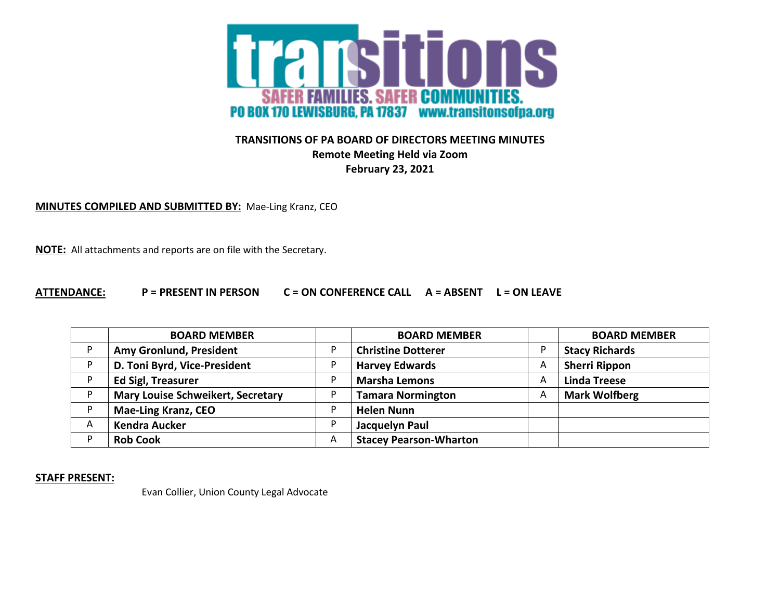

## **TRANSITIONS OF PA BOARD OF DIRECTORS MEETING MINUTES Remote Meeting Held via Zoom February 23, 2021**

**MINUTES COMPILED AND SUBMITTED BY:** Mae-Ling Kranz, CEO

**NOTE:** All attachments and reports are on file with the Secretary.

## **ATTENDANCE: P = PRESENT IN PERSON C = ON CONFERENCE CALL A = ABSENT L = ON LEAVE**

|    | <b>BOARD MEMBER</b>                      |   | <b>BOARD MEMBER</b>           |   | <b>BOARD MEMBER</b>   |
|----|------------------------------------------|---|-------------------------------|---|-----------------------|
| D  | Amy Gronlund, President                  |   | <b>Christine Dotterer</b>     |   | <b>Stacy Richards</b> |
|    | D. Toni Byrd, Vice-President             |   | <b>Harvey Edwards</b>         | A | <b>Sherri Rippon</b>  |
|    | <b>Ed Sigl, Treasurer</b>                |   | <b>Marsha Lemons</b>          | A | <b>Linda Treese</b>   |
| D. | <b>Mary Louise Schweikert, Secretary</b> |   | <b>Tamara Normington</b>      | A | <b>Mark Wolfberg</b>  |
|    | <b>Mae-Ling Kranz, CEO</b>               |   | <b>Helen Nunn</b>             |   |                       |
| A  | <b>Kendra Aucker</b>                     | D | Jacquelyn Paul                |   |                       |
|    | <b>Rob Cook</b>                          | A | <b>Stacey Pearson-Wharton</b> |   |                       |

**STAFF PRESENT:**

Evan Collier, Union County Legal Advocate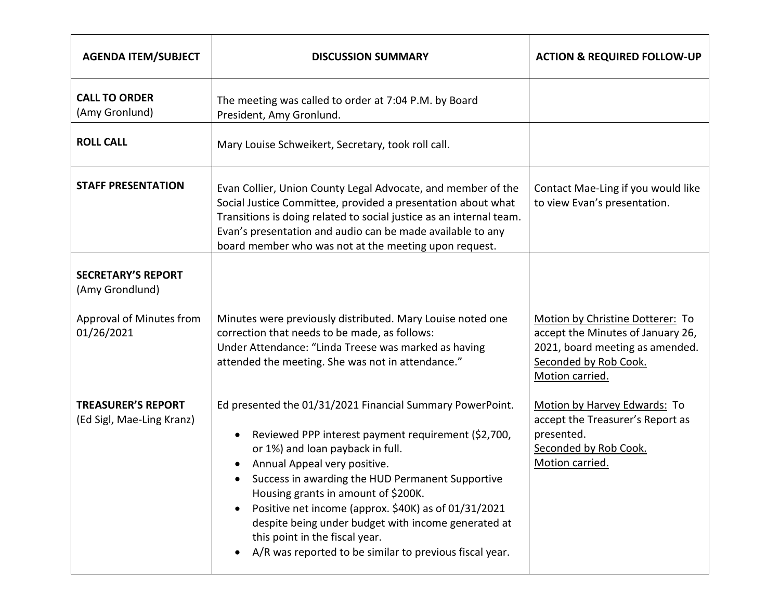| <b>AGENDA ITEM/SUBJECT</b>                             | <b>DISCUSSION SUMMARY</b>                                                                                                                                                                                                                                                                                                                                                                                                                                                                                             | <b>ACTION &amp; REQUIRED FOLLOW-UP</b>                                                                                                               |
|--------------------------------------------------------|-----------------------------------------------------------------------------------------------------------------------------------------------------------------------------------------------------------------------------------------------------------------------------------------------------------------------------------------------------------------------------------------------------------------------------------------------------------------------------------------------------------------------|------------------------------------------------------------------------------------------------------------------------------------------------------|
| <b>CALL TO ORDER</b><br>(Amy Gronlund)                 | The meeting was called to order at 7:04 P.M. by Board<br>President, Amy Gronlund.                                                                                                                                                                                                                                                                                                                                                                                                                                     |                                                                                                                                                      |
| <b>ROLL CALL</b>                                       | Mary Louise Schweikert, Secretary, took roll call.                                                                                                                                                                                                                                                                                                                                                                                                                                                                    |                                                                                                                                                      |
| <b>STAFF PRESENTATION</b>                              | Evan Collier, Union County Legal Advocate, and member of the<br>Social Justice Committee, provided a presentation about what<br>Transitions is doing related to social justice as an internal team.<br>Evan's presentation and audio can be made available to any<br>board member who was not at the meeting upon request.                                                                                                                                                                                            | Contact Mae-Ling if you would like<br>to view Evan's presentation.                                                                                   |
| <b>SECRETARY'S REPORT</b><br>(Amy Grondlund)           |                                                                                                                                                                                                                                                                                                                                                                                                                                                                                                                       |                                                                                                                                                      |
| Approval of Minutes from<br>01/26/2021                 | Minutes were previously distributed. Mary Louise noted one<br>correction that needs to be made, as follows:<br>Under Attendance: "Linda Treese was marked as having<br>attended the meeting. She was not in attendance."                                                                                                                                                                                                                                                                                              | Motion by Christine Dotterer: To<br>accept the Minutes of January 26,<br>2021, board meeting as amended.<br>Seconded by Rob Cook.<br>Motion carried. |
| <b>TREASURER'S REPORT</b><br>(Ed Sigl, Mae-Ling Kranz) | Ed presented the 01/31/2021 Financial Summary PowerPoint.<br>Reviewed PPP interest payment requirement (\$2,700,<br>$\bullet$<br>or 1%) and loan payback in full.<br>Annual Appeal very positive.<br>$\bullet$<br>Success in awarding the HUD Permanent Supportive<br>Housing grants in amount of \$200K.<br>Positive net income (approx. \$40K) as of 01/31/2021<br>despite being under budget with income generated at<br>this point in the fiscal year.<br>A/R was reported to be similar to previous fiscal year. | Motion by Harvey Edwards: To<br>accept the Treasurer's Report as<br>presented.<br>Seconded by Rob Cook.<br>Motion carried.                           |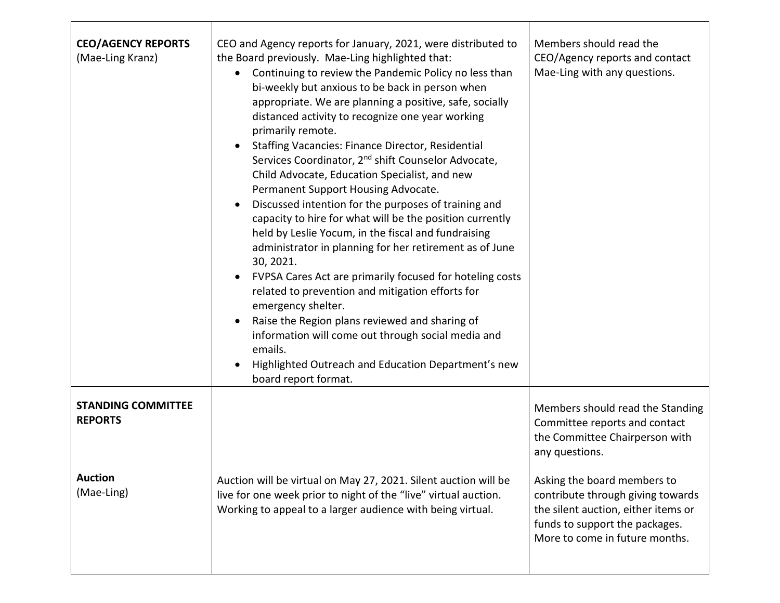| <b>CEO/AGENCY REPORTS</b><br>(Mae-Ling Kranz) | CEO and Agency reports for January, 2021, were distributed to<br>the Board previously. Mae-Ling highlighted that:<br>Continuing to review the Pandemic Policy no less than<br>$\bullet$<br>bi-weekly but anxious to be back in person when<br>appropriate. We are planning a positive, safe, socially<br>distanced activity to recognize one year working<br>primarily remote.<br><b>Staffing Vacancies: Finance Director, Residential</b><br>$\bullet$<br>Services Coordinator, 2 <sup>nd</sup> shift Counselor Advocate,<br>Child Advocate, Education Specialist, and new<br>Permanent Support Housing Advocate.<br>Discussed intention for the purposes of training and<br>$\bullet$<br>capacity to hire for what will be the position currently<br>held by Leslie Yocum, in the fiscal and fundraising<br>administrator in planning for her retirement as of June<br>30, 2021.<br>FVPSA Cares Act are primarily focused for hoteling costs<br>related to prevention and mitigation efforts for<br>emergency shelter.<br>Raise the Region plans reviewed and sharing of<br>$\bullet$<br>information will come out through social media and<br>emails.<br>Highlighted Outreach and Education Department's new<br>board report format. | Members should read the<br>CEO/Agency reports and contact<br>Mae-Ling with any questions.                                                                                   |
|-----------------------------------------------|-----------------------------------------------------------------------------------------------------------------------------------------------------------------------------------------------------------------------------------------------------------------------------------------------------------------------------------------------------------------------------------------------------------------------------------------------------------------------------------------------------------------------------------------------------------------------------------------------------------------------------------------------------------------------------------------------------------------------------------------------------------------------------------------------------------------------------------------------------------------------------------------------------------------------------------------------------------------------------------------------------------------------------------------------------------------------------------------------------------------------------------------------------------------------------------------------------------------------------------------|-----------------------------------------------------------------------------------------------------------------------------------------------------------------------------|
| <b>STANDING COMMITTEE</b><br><b>REPORTS</b>   |                                                                                                                                                                                                                                                                                                                                                                                                                                                                                                                                                                                                                                                                                                                                                                                                                                                                                                                                                                                                                                                                                                                                                                                                                                         | Members should read the Standing<br>Committee reports and contact<br>the Committee Chairperson with<br>any questions.                                                       |
| <b>Auction</b><br>(Mae-Ling)                  | Auction will be virtual on May 27, 2021. Silent auction will be<br>live for one week prior to night of the "live" virtual auction.<br>Working to appeal to a larger audience with being virtual.                                                                                                                                                                                                                                                                                                                                                                                                                                                                                                                                                                                                                                                                                                                                                                                                                                                                                                                                                                                                                                        | Asking the board members to<br>contribute through giving towards<br>the silent auction, either items or<br>funds to support the packages.<br>More to come in future months. |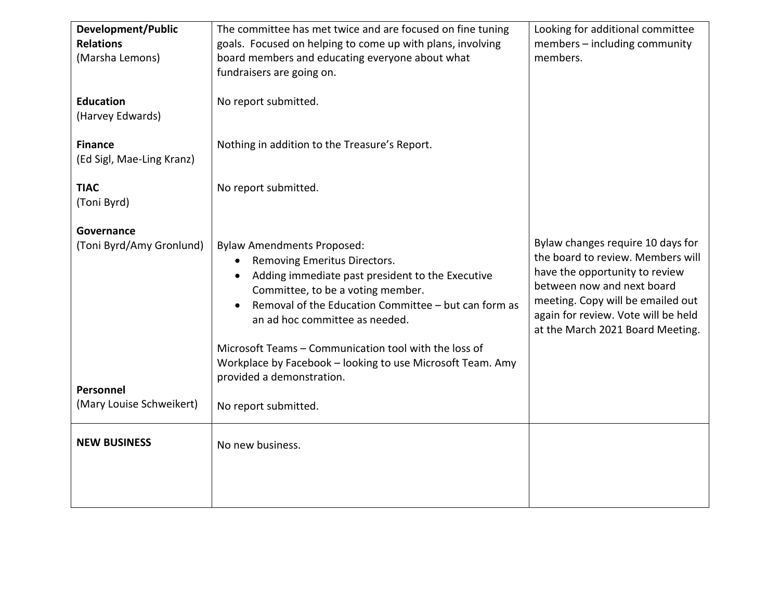| Development/Public                   | The committee has met twice and are focused on fine tuning                                                                                                                                                                                                                                                                                                                                                                         | Looking for additional committee                                                                                                                                                                                                                       |
|--------------------------------------|------------------------------------------------------------------------------------------------------------------------------------------------------------------------------------------------------------------------------------------------------------------------------------------------------------------------------------------------------------------------------------------------------------------------------------|--------------------------------------------------------------------------------------------------------------------------------------------------------------------------------------------------------------------------------------------------------|
| <b>Relations</b>                     | goals. Focused on helping to come up with plans, involving                                                                                                                                                                                                                                                                                                                                                                         | members - including community                                                                                                                                                                                                                          |
| (Marsha Lemons)                      | board members and educating everyone about what                                                                                                                                                                                                                                                                                                                                                                                    | members.                                                                                                                                                                                                                                               |
|                                      | fundraisers are going on.                                                                                                                                                                                                                                                                                                                                                                                                          |                                                                                                                                                                                                                                                        |
| <b>Education</b><br>(Harvey Edwards) | No report submitted.                                                                                                                                                                                                                                                                                                                                                                                                               |                                                                                                                                                                                                                                                        |
| <b>Finance</b>                       | Nothing in addition to the Treasure's Report.                                                                                                                                                                                                                                                                                                                                                                                      |                                                                                                                                                                                                                                                        |
| (Ed Sigl, Mae-Ling Kranz)            |                                                                                                                                                                                                                                                                                                                                                                                                                                    |                                                                                                                                                                                                                                                        |
| <b>TIAC</b><br>(Toni Byrd)           | No report submitted.                                                                                                                                                                                                                                                                                                                                                                                                               |                                                                                                                                                                                                                                                        |
| Governance                           |                                                                                                                                                                                                                                                                                                                                                                                                                                    |                                                                                                                                                                                                                                                        |
| (Toni Byrd/Amy Gronlund)             | <b>Bylaw Amendments Proposed:</b><br>Removing Emeritus Directors.<br>Adding immediate past president to the Executive<br>$\bullet$<br>Committee, to be a voting member.<br>Removal of the Education Committee - but can form as<br>$\bullet$<br>an ad hoc committee as needed.<br>Microsoft Teams - Communication tool with the loss of<br>Workplace by Facebook - looking to use Microsoft Team. Amy<br>provided a demonstration. | Bylaw changes require 10 days for<br>the board to review. Members will<br>have the opportunity to review<br>between now and next board<br>meeting. Copy will be emailed out<br>again for review. Vote will be held<br>at the March 2021 Board Meeting. |
| Personnel                            |                                                                                                                                                                                                                                                                                                                                                                                                                                    |                                                                                                                                                                                                                                                        |
| (Mary Louise Schweikert)             | No report submitted.                                                                                                                                                                                                                                                                                                                                                                                                               |                                                                                                                                                                                                                                                        |
|                                      |                                                                                                                                                                                                                                                                                                                                                                                                                                    |                                                                                                                                                                                                                                                        |
| <b>NEW BUSINESS</b>                  | No new business.                                                                                                                                                                                                                                                                                                                                                                                                                   |                                                                                                                                                                                                                                                        |
|                                      |                                                                                                                                                                                                                                                                                                                                                                                                                                    |                                                                                                                                                                                                                                                        |
|                                      |                                                                                                                                                                                                                                                                                                                                                                                                                                    |                                                                                                                                                                                                                                                        |